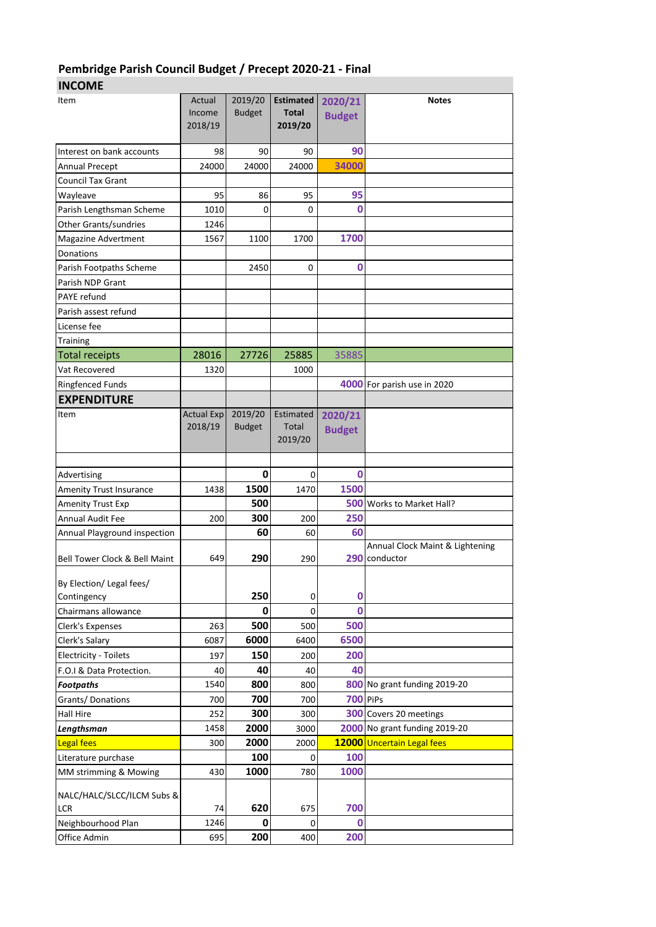## **Pembridge Parish Council Budget / Precept 2020-21 - Final**

## **INCOME**

| ᆢ                              |                   |               |                         |                 |                                 |
|--------------------------------|-------------------|---------------|-------------------------|-----------------|---------------------------------|
| Item                           | Actual            | 2019/20       | <b>Estimated</b>        | 2020/21         | <b>Notes</b>                    |
|                                | Income            | <b>Budget</b> | <b>Total</b><br>2019/20 | <b>Budget</b>   |                                 |
|                                | 2018/19           |               |                         |                 |                                 |
| Interest on bank accounts      | 98                | 90            | 90                      | 90              |                                 |
| <b>Annual Precept</b>          | 24000             | 24000         | 24000                   | 34000           |                                 |
| <b>Council Tax Grant</b>       |                   |               |                         |                 |                                 |
| Wayleave                       | 95                | 86            | 95                      | 95              |                                 |
| Parish Lengthsman Scheme       | 1010              | 0             | 0                       | 0               |                                 |
| Other Grants/sundries          | 1246              |               |                         |                 |                                 |
| <b>Magazine Advertment</b>     | 1567              | 1100          | 1700                    | 1700            |                                 |
| Donations                      |                   |               |                         |                 |                                 |
| Parish Footpaths Scheme        |                   | 2450          | 0                       | $\bf{0}$        |                                 |
| Parish NDP Grant               |                   |               |                         |                 |                                 |
| <b>PAYE</b> refund             |                   |               |                         |                 |                                 |
| Parish assest refund           |                   |               |                         |                 |                                 |
| License fee                    |                   |               |                         |                 |                                 |
|                                |                   |               |                         |                 |                                 |
| <b>Training</b>                |                   |               |                         |                 |                                 |
| <b>Total receipts</b>          | 28016             | 27726         | 25885                   | 35885           |                                 |
| Vat Recovered                  | 1320              |               | 1000                    |                 |                                 |
| <b>Ringfenced Funds</b>        |                   |               |                         |                 | 4000 For parish use in 2020     |
| <b>EXPENDITURE</b>             |                   |               |                         |                 |                                 |
| Item                           | <b>Actual Exp</b> | 2019/20       | Estimated               | 2020/21         |                                 |
|                                | 2018/19           | <b>Budget</b> | Total<br>2019/20        | <b>Budget</b>   |                                 |
|                                |                   |               |                         |                 |                                 |
|                                |                   |               |                         |                 |                                 |
| Advertising                    |                   | 0             | 0                       | 0               |                                 |
| <b>Amenity Trust Insurance</b> | 1438              | 1500          | 1470                    | 1500            |                                 |
| <b>Amenity Trust Exp</b>       |                   | 500           |                         |                 | 500 Works to Market Hall?       |
| <b>Annual Audit Fee</b>        | 200               | 300           | 200                     | 250             |                                 |
| Annual Playground inspection   |                   | 60            | 60                      | 60              |                                 |
|                                |                   |               |                         |                 | Annual Clock Maint & Lightening |
| Bell Tower Clock & Bell Maint  | 649               | 290           | 290                     |                 | 290 conductor                   |
| By Election/ Legal fees/       |                   |               |                         |                 |                                 |
| Contingency                    |                   | 250           | 0                       | 0               |                                 |
| Chairmans allowance            |                   | 0             | 0                       | $\bf{0}$        |                                 |
| Clerk's Expenses               | 263               | 500           | 500                     | 500             |                                 |
| Clerk's Salary                 | 6087              | 6000          | 6400                    | 6500            |                                 |
| <b>Electricity - Toilets</b>   | 197               | 150           | 200                     | 200             |                                 |
| F.O.I & Data Protection.       | 40                | 40            | 40                      | 40              |                                 |
| <b>Footpaths</b>               | 1540              | 800           | 800                     |                 | 800 No grant funding 2019-20    |
| Grants/Donations               | 700               | 700           | 700                     | <b>700 PiPs</b> |                                 |
| <b>Hall Hire</b>               | 252               | 300           | 300                     |                 | 300 Covers 20 meetings          |
| Lengthsman                     | 1458              | 2000          | 3000                    |                 | 2000 No grant funding 2019-20   |
| <b>Legal fees</b>              | 300               | 2000          | 2000                    |                 | 12000 Uncertain Legal fees      |
|                                |                   | 100           | 0                       | 100             |                                 |
| Literature purchase            | 430               | 1000          | 780                     | 1000            |                                 |
| MM strimming & Mowing          |                   |               |                         |                 |                                 |
| NALC/HALC/SLCC/ILCM Subs &     |                   |               |                         |                 |                                 |
| LCR                            | 74                | 620           | 675                     | 700             |                                 |
| Neighbourhood Plan             | 1246              | 0             | 0                       | 0               |                                 |
| Office Admin                   | 695               | 200           | 400                     | 200             |                                 |